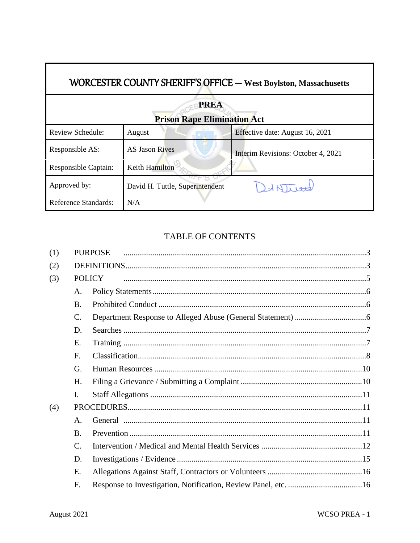| WORCESTER COUNTY SHERIFF'S OFFICE - West Boylston, Massachusetts |                                 |                                    |  |  |  |  |  |
|------------------------------------------------------------------|---------------------------------|------------------------------------|--|--|--|--|--|
| <b>PREA</b>                                                      |                                 |                                    |  |  |  |  |  |
| <b>Prison Rape Elimination Act</b>                               |                                 |                                    |  |  |  |  |  |
| Review Schedule:                                                 | August                          | Effective date: August 16, 2021    |  |  |  |  |  |
| Responsible AS:                                                  | <b>AS Jason Rives</b>           | Interim Revisions: October 4, 2021 |  |  |  |  |  |
| Responsible Captain:                                             | Keith Hamilton                  |                                    |  |  |  |  |  |
| Approved by:                                                     | David H. Tuttle, Superintendent |                                    |  |  |  |  |  |
| Reference Standards:                                             | N/A                             |                                    |  |  |  |  |  |

# TABLE OF CONTENTS

| (1) |                 | <b>PURPOSE</b> |  |  |
|-----|-----------------|----------------|--|--|
| (2) |                 |                |  |  |
| (3) | <b>POLICY</b>   |                |  |  |
|     | A.              |                |  |  |
|     | <b>B.</b>       |                |  |  |
|     | $\mathcal{C}$ . |                |  |  |
|     | D.              |                |  |  |
|     | Е.              |                |  |  |
|     | F.              |                |  |  |
|     | G.              |                |  |  |
|     | Н.              |                |  |  |
|     | I.              |                |  |  |
| (4) |                 |                |  |  |
|     | $\mathsf{A}$ .  |                |  |  |
|     | $\bf{B}$        |                |  |  |
|     | C.              |                |  |  |
|     | D.              |                |  |  |
|     | E.              |                |  |  |
|     | F.              |                |  |  |

 $\Gamma$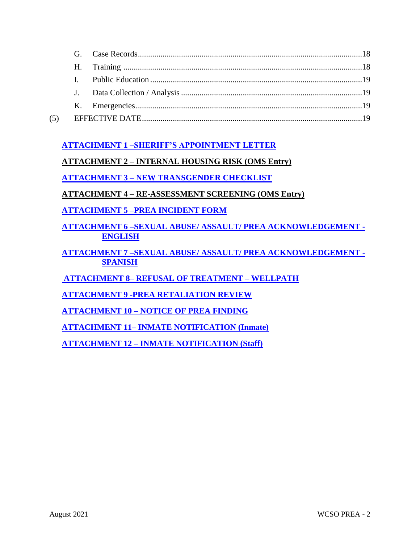| (5) |  |  |
|-----|--|--|

## **[ATTACHMENT 1 –SHERIFF'S APPOINTMENT LETTER](https://powerdms.com/link/IDS/document/?id=422555)**

## **ATTACHMENT 2 – INTERNAL HOUSING RISK (OMS Entry)**

**ATTACHMENT 3 – [NEW TRANSGENDER CHECKLIST](https://powerdms.com/link/WORCESTERCSO/document/?id=893969)**

**ATTACHMENT 4 – RE-ASSESSMENT SCREENING (OMS Entry)**

**ATTACHMENT 5 [–PREA INCIDENT FORM](https://powerdms.com/link/IDS/document/?id=196182)** 

**ATTACHMENT 6 [–SEXUAL ABUSE/ ASSAULT/ PREA ACKNOWLEDGEMENT](https://powerdms.com/link/IDS/document/?id=196184) - ENGLISH**

**ATTACHMENT 7 [–SEXUAL ABUSE/ ASSAULT/ PREA ACKNOWLEDGEMENT -](https://powerdms.com/link/IDS/document/?id=196186) [SPANISH](https://powerdms.com/link/IDS/document/?id=196186)**

**ATTACHMENT 8– [REFUSAL OF TREATMENT –](https://powerdms.com/docs/126339) WELLPATH** 

**ATTACHMENT 9 [-PREA RETALIATION REVIEW](https://powerdms.com/link/IDS/document/?id=196188)**

**ATTACHMENT 10 – [NOTICE OF PREA FINDING](https://powerdms.com/link/IDS/document/?id=196189)**

**ATTACHMENT 11– [INMATE NOTIFICATION \(Inmate\)](https://powerdms.com/link/IDS/document/?id=196190)**

**ATTACHMENT 12 – [INMATE NOTIFICATION \(Staff\)](https://powerdms.com/link/IDS/document/?id=196191)**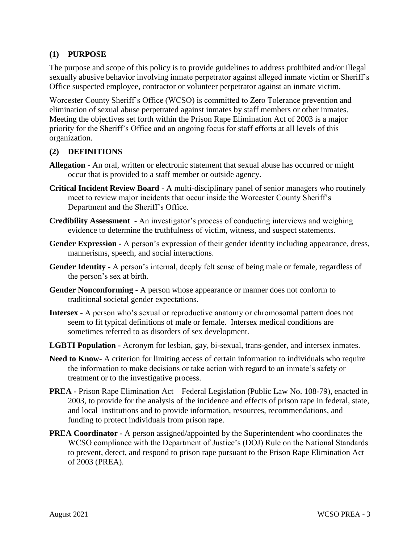#### <span id="page-2-0"></span>**(1) PURPOSE**

The purpose and scope of this policy is to provide guidelines to address prohibited and/or illegal sexually abusive behavior involving inmate perpetrator against alleged inmate victim or Sheriff's Office suspected employee, contractor or volunteer perpetrator against an inmate victim.

Worcester County Sheriff's Office (WCSO) is committed to Zero Tolerance prevention and elimination of sexual abuse perpetrated against inmates by staff members or other inmates. Meeting the objectives set forth within the Prison Rape Elimination Act of 2003 is a major priority for the Sheriff's Office and an ongoing focus for staff efforts at all levels of this organization.

#### <span id="page-2-1"></span>**(2) DEFINITIONS**

- **Allegation -** An oral, written or electronic statement that sexual abuse has occurred or might occur that is provided to a staff member or outside agency.
- **Critical Incident Review Board -** A multi-disciplinary panel of senior managers who routinely meet to review major incidents that occur inside the Worcester County Sheriff's Department and the Sheriff's Office.
- **Credibility Assessment -** An investigator's process of conducting interviews and weighing evidence to determine the truthfulness of victim, witness, and suspect statements.
- **Gender Expression -** A person's expression of their gender identity including appearance, dress, mannerisms, speech, and social interactions.
- **Gender Identity -** A person's internal, deeply felt sense of being male or female, regardless of the person's sex at birth.
- **Gender Nonconforming -** A person whose appearance or manner does not conform to traditional societal gender expectations.
- **Intersex -** A person who's sexual or reproductive anatomy or chromosomal pattern does not seem to fit typical definitions of male or female. Intersex medical conditions are sometimes referred to as disorders of sex development.
- **LGBTI Population -** Acronym for lesbian, gay, bi-sexual, trans-gender, and intersex inmates.
- **Need to Know-** A criterion for limiting access of certain information to individuals who require the information to make decisions or take action with regard to an inmate's safety or treatment or to the investigative process.
- **PREA -** Prison Rape Elimination Act Federal Legislation (Public Law No. 108-79), enacted in 2003, to provide for the analysis of the incidence and effects of prison rape in federal, state, and local institutions and to provide information, resources, recommendations, and funding to protect individuals from prison rape.
- **PREA Coordinator -** A person assigned/appointed by the Superintendent who coordinates the WCSO compliance with the Department of Justice's (DOJ) Rule on the National Standards to prevent, detect, and respond to prison rape pursuant to the Prison Rape Elimination Act of 2003 (PREA).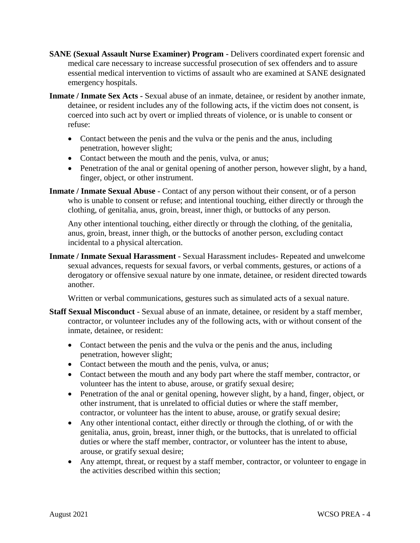- **SANE (Sexual Assault Nurse Examiner) Program -** Delivers coordinated expert forensic and medical care necessary to increase successful prosecution of sex offenders and to assure essential medical intervention to victims of assault who are examined at SANE designated emergency hospitals.
- **Inmate / Inmate Sex Acts -** Sexual abuse of an inmate, detainee, or resident by another inmate, detainee, or resident includes any of the following acts, if the victim does not consent, is coerced into such act by overt or implied threats of violence, or is unable to consent or refuse:
	- Contact between the penis and the vulva or the penis and the anus, including penetration, however slight;
	- Contact between the mouth and the penis, vulva, or anus;
	- Penetration of the anal or genital opening of another person, however slight, by a hand, finger, object, or other instrument.
- **Inmate / Inmate Sexual Abuse** Contact of any person without their consent, or of a person who is unable to consent or refuse; and intentional touching, either directly or through the clothing, of genitalia, anus, groin, breast, inner thigh, or buttocks of any person.

Any other intentional touching, either directly or through the clothing, of the genitalia, anus, groin, breast, inner thigh, or the buttocks of another person, excluding contact incidental to a physical altercation.

**Inmate / Inmate Sexual Harassment** - Sexual Harassment includes- Repeated and unwelcome sexual advances, requests for sexual favors, or verbal comments, gestures, or actions of a derogatory or offensive sexual nature by one inmate, detainee, or resident directed towards another.

Written or verbal communications, gestures such as simulated acts of a sexual nature.

- **Staff Sexual Misconduct** Sexual abuse of an inmate, detainee, or resident by a staff member, contractor, or volunteer includes any of the following acts, with or without consent of the inmate, detainee, or resident:
	- Contact between the penis and the vulva or the penis and the anus, including penetration, however slight;
	- Contact between the mouth and the penis, vulva, or anus;
	- Contact between the mouth and any body part where the staff member, contractor, or volunteer has the intent to abuse, arouse, or gratify sexual desire;
	- Penetration of the anal or genital opening, however slight, by a hand, finger, object, or other instrument, that is unrelated to official duties or where the staff member, contractor, or volunteer has the intent to abuse, arouse, or gratify sexual desire;
	- Any other intentional contact, either directly or through the clothing, of or with the genitalia, anus, groin, breast, inner thigh, or the buttocks, that is unrelated to official duties or where the staff member, contractor, or volunteer has the intent to abuse, arouse, or gratify sexual desire;
	- Any attempt, threat, or request by a staff member, contractor, or volunteer to engage in the activities described within this section;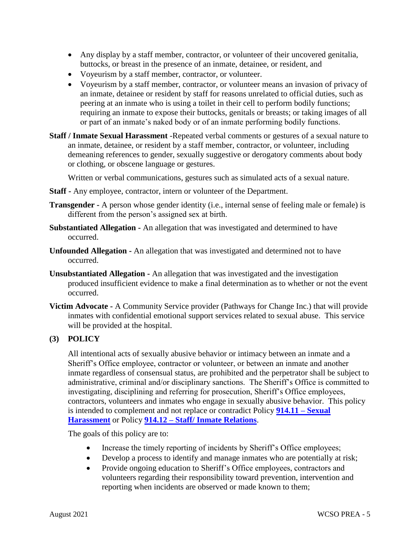- Any display by a staff member, contractor, or volunteer of their uncovered genitalia, buttocks, or breast in the presence of an inmate, detainee, or resident, and
- Voyeurism by a staff member, contractor, or volunteer.
- Voyeurism by a staff member, contractor, or volunteer means an invasion of privacy of an inmate, detainee or resident by staff for reasons unrelated to official duties, such as peering at an inmate who is using a toilet in their cell to perform bodily functions; requiring an inmate to expose their buttocks, genitals or breasts; or taking images of all or part of an inmate's naked body or of an inmate performing bodily functions.
- **Staff / Inmate Sexual Harassment** -Repeated verbal comments or gestures of a sexual nature to an inmate, detainee, or resident by a staff member, contractor, or volunteer, including demeaning references to gender, sexually suggestive or derogatory comments about body or clothing, or obscene language or gestures.

Written or verbal communications, gestures such as simulated acts of a sexual nature.

- **Staff -** Any employee, contractor, intern or volunteer of the Department.
- **Transgender -** A person whose gender identity (i.e., internal sense of feeling male or female) is different from the person's assigned sex at birth.
- **Substantiated Allegation -** An allegation that was investigated and determined to have occurred.
- **Unfounded Allegation -** An allegation that was investigated and determined not to have occurred.
- **Unsubstantiated Allegation -** An allegation that was investigated and the investigation produced insufficient evidence to make a final determination as to whether or not the event occurred.
- **Victim Advocate -** A Community Service provider (Pathways for Change Inc.) that will provide inmates with confidential emotional support services related to sexual abuse. This service will be provided at the hospital.

## <span id="page-4-0"></span>**(3) POLICY**

All intentional acts of sexually abusive behavior or intimacy between an inmate and a Sheriff's Office employee, contractor or volunteer, or between an inmate and another inmate regardless of consensual status, are prohibited and the perpetrator shall be subject to administrative, criminal and/or disciplinary sanctions. The Sheriff's Office is committed to investigating, disciplining and referring for prosecution, Sheriff's Office employees, contractors, volunteers and inmates who engage in sexually abusive behavior. This policy is intended to complement and not replace or contradict Policy **[914.11 –](https://powerdms.com/link/IDS/document/?id=112595) Sexual [Harassment](https://powerdms.com/link/IDS/document/?id=112595)** or Policy **914.12 – [Staff/ Inmate Relations](https://powerdms.com/link/IDS/document/?id=112599)**.

The goals of this policy are to:

- Increase the timely reporting of incidents by Sheriff's Office employees;
- Develop a process to identify and manage inmates who are potentially at risk;
- Provide ongoing education to Sheriff's Office employees, contractors and volunteers regarding their responsibility toward prevention, intervention and reporting when incidents are observed or made known to them;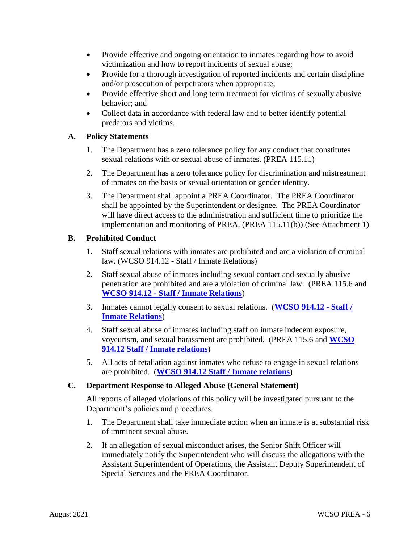- Provide effective and ongoing orientation to inmates regarding how to avoid victimization and how to report incidents of sexual abuse;
- Provide for a thorough investigation of reported incidents and certain discipline and/or prosecution of perpetrators when appropriate;
- Provide effective short and long term treatment for victims of sexually abusive behavior; and
- Collect data in accordance with federal law and to better identify potential predators and victims.

## <span id="page-5-0"></span>**A. Policy Statements**

- 1. The Department has a zero tolerance policy for any conduct that constitutes sexual relations with or sexual abuse of inmates. (PREA 115.11)
- 2. The Department has a zero tolerance policy for discrimination and mistreatment of inmates on the basis or sexual orientation or gender identity.
- 3. The Department shall appoint a PREA Coordinator. The PREA Coordinator shall be appointed by the Superintendent or designee. The PREA Coordinator will have direct access to the administration and sufficient time to prioritize the implementation and monitoring of PREA. (PREA 115.11(b)) (See Attachment 1)

#### <span id="page-5-1"></span>**B. Prohibited Conduct**

- 1. Staff sexual relations with inmates are prohibited and are a violation of criminal law. (WCSO 914.12 - Staff / Inmate Relations)
- 2. Staff sexual abuse of inmates including sexual contact and sexually abusive penetration are prohibited and are a violation of criminal law. (PREA 115.6 and **WCSO 914.12 - [Staff / Inmate Relations](https://powerdms.com/link/IDS/document/?id=112599)**)
- 3. Inmates cannot legally consent to sexual relations. (**[WCSO 914.12 -](https://powerdms.com/link/IDS/document/?id=112599) Staff / [Inmate Relations](https://powerdms.com/link/IDS/document/?id=112599)**)
- 4. Staff sexual abuse of inmates including staff on inmate indecent exposure, voyeurism, and sexual harassment are prohibited. (PREA 115.6 and **[WCSO](https://powerdms.com/link/IDS/document/?id=112599)  [914.12 Staff / Inmate relations](https://powerdms.com/link/IDS/document/?id=112599)**)
- 5. All acts of retaliation against inmates who refuse to engage in sexual relations are prohibited. (**[WCSO 914.12 Staff / Inmate relations](https://powerdms.com/link/IDS/document/?id=112599)**)

## <span id="page-5-2"></span>**C. Department Response to Alleged Abuse (General Statement)**

All reports of alleged violations of this policy will be investigated pursuant to the Department's policies and procedures.

- 1. The Department shall take immediate action when an inmate is at substantial risk of imminent sexual abuse.
- 2. If an allegation of sexual misconduct arises, the Senior Shift Officer will immediately notify the Superintendent who will discuss the allegations with the Assistant Superintendent of Operations, the Assistant Deputy Superintendent of Special Services and the PREA Coordinator.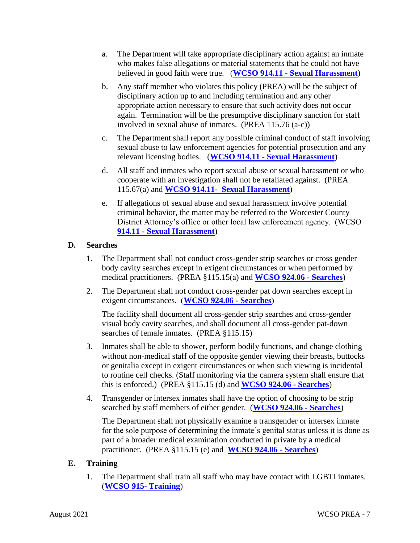- a. The Department will take appropriate disciplinary action against an inmate who makes false allegations or material statements that he could not have believed in good faith were true. (**WCSO 914.11 - [Sexual Harassment](https://powerdms.com/link/IDS/document/?id=112595)**)
- b. Any staff member who violates this policy (PREA) will be the subject of disciplinary action up to and including termination and any other appropriate action necessary to ensure that such activity does not occur again. Termination will be the presumptive disciplinary sanction for staff involved in sexual abuse of inmates. (PREA 115.76 (a-c))
- c. The Department shall report any possible criminal conduct of staff involving sexual abuse to law enforcement agencies for potential prosecution and any relevant licensing bodies. (**WCSO 914.11 - [Sexual Harassment](https://powerdms.com/link/IDS/document/?id=112595)**)
- d. All staff and inmates who report sexual abuse or sexual harassment or who cooperate with an investigation shall not be retaliated against. (PREA 115.67(a) and **[WCSO 914.11- Sexual Harassment](https://powerdms.com/link/IDS/document/?id=112595)**)
- e. If allegations of sexual abuse and sexual harassment involve potential criminal behavior, the matter may be referred to the Worcester County District Attorney's office or other local law enforcement agency. (WCSO **914.11 - [Sexual Harassment](https://powerdms.com/link/IDS/document/?id=112595)**)

## <span id="page-6-0"></span>**D. Searches**

- 1. The Department shall not conduct cross-gender strip searches or cross gender body cavity searches except in exigent circumstances or when performed by medical practitioners. (PREA §115.15(a) and **[WCSO 924.06 -](https://powerdms.com/link/IDS/document/?id=112683) Searches**)
- 2. The Department shall not conduct cross-gender pat down searches except in exigent circumstances. (**[WCSO 924.06 -](https://powerdms.com/link/IDS/document/?id=112683) Searches**)

The facility shall document all cross-gender strip searches and cross-gender visual body cavity searches, and shall document all cross-gender pat-down searches of female inmates. (PREA §115.15)

- 3. Inmates shall be able to shower, perform bodily functions, and change clothing without non-medical staff of the opposite gender viewing their breasts, buttocks or genitalia except in exigent circumstances or when such viewing is incidental to routine cell checks. (Staff monitoring via the camera system shall ensure that this is enforced.) (PREA §115.15 (d) and **[WCSO 924.06 -](https://powerdms.com/link/IDS/document/?id=112683) Searches**)
- 4. Transgender or intersex inmates shall have the option of choosing to be strip searched by staff members of either gender. (**[WCSO 924.06 -](https://powerdms.com/link/IDS/document/?id=112683) Searches**)

The Department shall not physically examine a transgender or intersex inmate for the sole purpose of determining the inmate's genital status unless it is done as part of a broader medical examination conducted in private by a medical practitioner. (PREA §115.15 (e) and **[WCSO 924.06 -](https://powerdms.com/link/IDS/document/?id=112683) Searches**)

## <span id="page-6-1"></span>**E. Training**

1. The Department shall train all staff who may have contact with LGBTI inmates. (**[WCSO 915-](https://powerdms.com/link/IDS/document/?id=112604) Training**)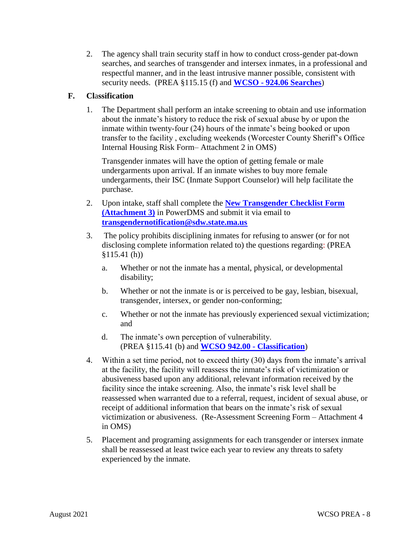2. The agency shall train security staff in how to conduct cross-gender pat-down searches, and searches of transgender and intersex inmates, in a professional and respectful manner, and in the least intrusive manner possible, consistent with security needs. (PREA §115.15 (f) and **WCSO - [924.06 Searches](https://powerdms.com/link/IDS/document/?id=112683)**)

## <span id="page-7-0"></span>**F. Cl**a**ssification**

1. The Department shall perform an intake screening to obtain and use information about the inmate's history to reduce the risk of sexual abuse by or upon the inmate within twenty-four (24) hours of the inmate's being booked or upon transfer to the facility , excluding weekends (Worcester County Sheriff's Office Internal Housing Risk Form– Attachment 2 in OMS)

Transgender inmates will have the option of getting female or male undergarments upon arrival. If an inmate wishes to buy more female undergarments, their ISC (Inmate Support Counselor) will help facilitate the purchase.

- 2. Upon intake, staff shall complete the **[New Transgender Checklist Form](https://powerdms.com/link/WORCESTERCSO/document/?id=893969)  [\(Attachment 3\)](https://powerdms.com/link/WORCESTERCSO/document/?id=893969)** in PowerDMS and submit it via email to **[transgendernotification@sdw.state.ma.us](mailto:transgendernotification@sdw.state.ma.us)**
- 3. The policy prohibits disciplining inmates for refusing to answer (or for not disclosing complete information related to) the questions regarding: (PREA §115.41 (h))
	- a. Whether or not the inmate has a mental, physical, or developmental disability;
	- b. Whether or not the inmate is or is perceived to be gay, lesbian, bisexual, transgender, intersex, or gender non-conforming;
	- c. Whether or not the inmate has previously experienced sexual victimization; and
	- d. The inmate's own perception of vulnerability. (PREA §115.41 (b) and **[WCSO 942.00 -](https://powerdms.com/link/IDS/document/?id=115912) Classification**)
- 4. Within a set time period, not to exceed thirty (30) days from the inmate's arrival at the facility, the facility will reassess the inmate's risk of victimization or abusiveness based upon any additional, relevant information received by the facility since the intake screening. Also, the inmate's risk level shall be reassessed when warranted due to a referral, request, incident of sexual abuse, or receipt of additional information that bears on the inmate's risk of sexual victimization or abusiveness. (Re-Assessment Screening Form – Attachment 4 in OMS)
- 5. Placement and programing assignments for each transgender or intersex inmate shall be reassessed at least twice each year to review any threats to safety experienced by the inmate.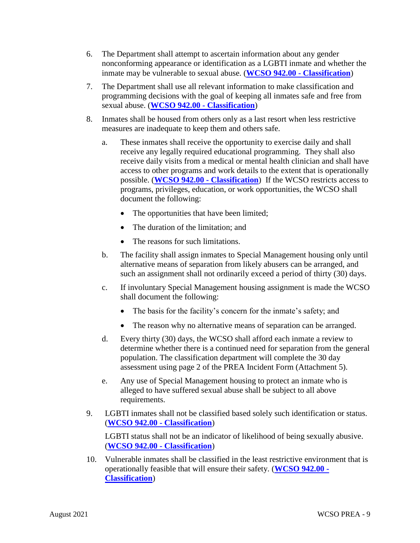- 6. The Department shall attempt to ascertain information about any gender nonconforming appearance or identification as a LGBTI inmate and whether the inmate may be vulnerable to sexual abuse. (**[WCSO 942.00 -](https://powerdms.com/link/IDS/document/?id=115912) Classification**)
- 7. The Department shall use all relevant information to make classification and programming decisions with the goal of keeping all inmates safe and free from sexual abuse. (**[WCSO 942.00 -](https://powerdms.com/link/IDS/document/?id=115912) Classification**)
- 8. Inmates shall be housed from others only as a last resort when less restrictive measures are inadequate to keep them and others safe.
	- a. These inmates shall receive the opportunity to exercise daily and shall receive any legally required educational programming. They shall also receive daily visits from a medical or mental health clinician and shall have access to other programs and work details to the extent that is operationally possible. (**[WCSO 942.00 -](https://powerdms.com/link/IDS/document/?id=115912) Classification**) If the WCSO restricts access to programs, privileges, education, or work opportunities, the WCSO shall document the following:
		- The opportunities that have been limited;
		- The duration of the limitation: and
		- The reasons for such limitations.
	- b. The facility shall assign inmates to Special Management housing only until alternative means of separation from likely abusers can be arranged, and such an assignment shall not ordinarily exceed a period of thirty (30) days.
	- c. If involuntary Special Management housing assignment is made the WCSO shall document the following:
		- The basis for the facility's concern for the inmate's safety; and
		- The reason why no alternative means of separation can be arranged.
	- d. Every thirty (30) days, the WCSO shall afford each inmate a review to determine whether there is a continued need for separation from the general population. The classification department will complete the 30 day assessment using page 2 of the PREA Incident Form (Attachment 5).
	- e. Any use of Special Management housing to protect an inmate who is alleged to have suffered sexual abuse shall be subject to all above requirements.
- 9. LGBTI inmates shall not be classified based solely such identification or status. (**[WCSO 942.00 -](https://powerdms.com/link/IDS/document/?id=115912) Classification**)

LGBTI status shall not be an indicator of likelihood of being sexually abusive. (**[WCSO 942.00 -](https://powerdms.com/link/IDS/document/?id=115912) Classification**)

10. Vulnerable inmates shall be classified in the least restrictive environment that is operationally feasible that will ensure their safety. (**[WCSO 942.00 -](https://powerdms.com/link/IDS/document/?id=115912) [Classification](https://powerdms.com/link/IDS/document/?id=115912)**)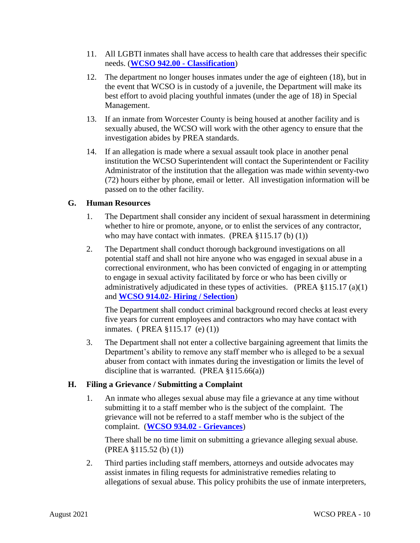- 11. All LGBTI inmates shall have access to health care that addresses their specific needs. (**[WCSO 942.00 -](https://powerdms.com/link/IDS/document/?id=115912) Classification**)
- 12. The department no longer houses inmates under the age of eighteen (18), but in the event that WCSO is in custody of a juvenile, the Department will make its best effort to avoid placing youthful inmates (under the age of 18) in Special Management.
- 13. If an inmate from Worcester County is being housed at another facility and is sexually abused, the WCSO will work with the other agency to ensure that the investigation abides by PREA standards.
- 14. If an allegation is made where a sexual assault took place in another penal institution the WCSO Superintendent will contact the Superintendent or Facility Administrator of the institution that the allegation was made within seventy-two (72) hours either by phone, email or letter. All investigation information will be passed on to the other facility.

#### <span id="page-9-0"></span>**G. Human Resources**

- 1. The Department shall consider any incident of sexual harassment in determining whether to hire or promote, anyone, or to enlist the services of any contractor, who may have contact with inmates. (PREA  $\S 115.17$  (b) (1))
- 2. The Department shall conduct thorough background investigations on all potential staff and shall not hire anyone who was engaged in sexual abuse in a correctional environment, who has been convicted of engaging in or attempting to engage in sexual activity facilitated by force or who has been civilly or administratively adjudicated in these types of activities. (PREA §115.17 (a)(1) and **WCSO 914.02- [Hiring / Selection](https://powerdms.com/link/IDS/document/?id=112572)**)

The Department shall conduct criminal background record checks at least every five years for current employees and contractors who may have contact with inmates. ( PREA §115.17 (e) (1))

3. The Department shall not enter a collective bargaining agreement that limits the Department's ability to remove any staff member who is alleged to be a sexual abuser from contact with inmates during the investigation or limits the level of discipline that is warranted. (PREA  $\S 115.66(a)$ )

## <span id="page-9-1"></span>**H. Filing a Grievance / Submitting a Complaint**

1. An inmate who alleges sexual abuse may file a grievance at any time without submitting it to a staff member who is the subject of the complaint. The grievance will not be referred to a staff member who is the subject of the complaint. (**[WCSO 934.02 -](https://powerdms.com/link/IDS/document/?id=115900) Grievances**)

There shall be no time limit on submitting a grievance alleging sexual abuse. (PREA §115.52 (b) (1))

2. Third parties including staff members, attorneys and outside advocates may assist inmates in filing requests for administrative remedies relating to allegations of sexual abuse. This policy prohibits the use of inmate interpreters,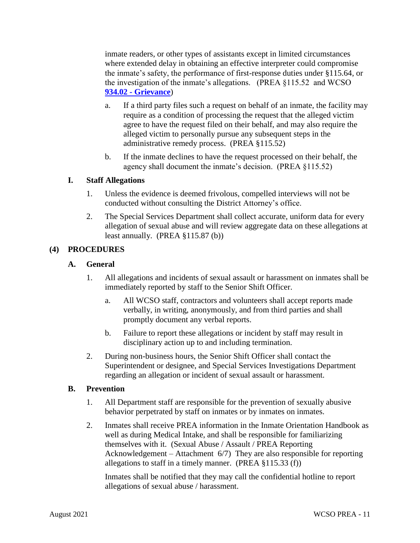inmate readers, or other types of assistants except in limited circumstances where extended delay in obtaining an effective interpreter could compromise the inmate's safety, the performance of first-response duties under §115.64, or the investigation of the inmate's allegations. (PREA §115.52 and WCSO **934.02 - [Grievance](https://powerdms.com/link/IDS/document/?id=115900)**)

- a. If a third party files such a request on behalf of an inmate, the facility may require as a condition of processing the request that the alleged victim agree to have the request filed on their behalf, and may also require the alleged victim to personally pursue any subsequent steps in the administrative remedy process. (PREA §115.52)
- b. If the inmate declines to have the request processed on their behalf, the agency shall document the inmate's decision. (PREA §115.52)

#### <span id="page-10-0"></span>**I. Staff Allegations**

- 1. Unless the evidence is deemed frivolous, compelled interviews will not be conducted without consulting the District Attorney's office.
- 2. The Special Services Department shall collect accurate, uniform data for every allegation of sexual abuse and will review aggregate data on these allegations at least annually. (PREA §115.87 (b))

## <span id="page-10-2"></span><span id="page-10-1"></span>**(4) PROCEDURES**

#### **A. General**

- 1. All allegations and incidents of sexual assault or harassment on inmates shall be immediately reported by staff to the Senior Shift Officer.
	- a. All WCSO staff, contractors and volunteers shall accept reports made verbally, in writing, anonymously, and from third parties and shall promptly document any verbal reports.
	- b. Failure to report these allegations or incident by staff may result in disciplinary action up to and including termination.
- 2. During non-business hours, the Senior Shift Officer shall contact the Superintendent or designee, and Special Services Investigations Department regarding an allegation or incident of sexual assault or harassment.

#### <span id="page-10-3"></span>**B. Prevention**

- 1. All Department staff are responsible for the prevention of sexually abusive behavior perpetrated by staff on inmates or by inmates on inmates.
- 2. Inmates shall receive PREA information in the Inmate Orientation Handbook as well as during Medical Intake, and shall be responsible for familiarizing themselves with it. (Sexual Abuse / Assault / PREA Reporting Acknowledgement – Attachment 6/7) They are also responsible for reporting allegations to staff in a timely manner. (PREA §115.33 (f))

Inmates shall be notified that they may call the confidential hotline to report allegations of sexual abuse / harassment.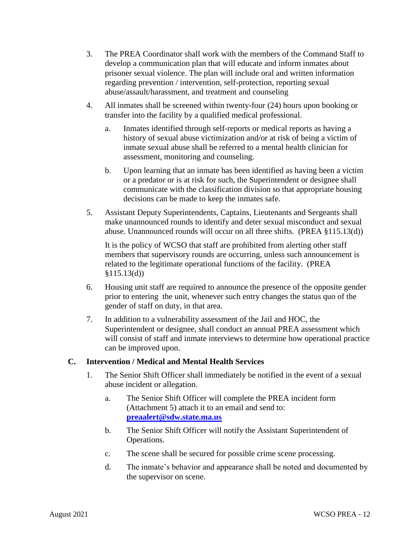- 3. The PREA Coordinator shall work with the members of the Command Staff to develop a communication plan that will educate and inform inmates about prisoner sexual violence. The plan will include oral and written information regarding prevention / intervention, self-protection, reporting sexual abuse/assault/harassment, and treatment and counseling
- 4. All inmates shall be screened within twenty-four (24) hours upon booking or transfer into the facility by a qualified medical professional.
	- a. Inmates identified through self-reports or medical reports as having a history of sexual abuse victimization and/or at risk of being a victim of inmate sexual abuse shall be referred to a mental health clinician for assessment, monitoring and counseling.
	- b. Upon learning that an inmate has been identified as having been a victim or a predator or is at risk for such, the Superintendent or designee shall communicate with the classification division so that appropriate housing decisions can be made to keep the inmates safe.
- 5. Assistant Deputy Superintendents, Captains, Lieutenants and Sergeants shall make unannounced rounds to identify and deter sexual misconduct and sexual abuse. Unannounced rounds will occur on all three shifts. (PREA §115.13(d))

It is the policy of WCSO that staff are prohibited from alerting other staff members that supervisory rounds are occurring, unless such announcement is related to the legitimate operational functions of the facility. (PREA  $§115.13(d))$ 

- 6. Housing unit staff are required to announce the presence of the opposite gender prior to entering the unit, whenever such entry changes the status quo of the gender of staff on duty, in that area.
- 7. In addition to a vulnerability assessment of the Jail and HOC, the Superintendent or designee, shall conduct an annual PREA assessment which will consist of staff and inmate interviews to determine how operational practice can be improved upon.

## <span id="page-11-0"></span>**C. Intervention / Medical and Mental Health Services**

- 1. The Senior Shift Officer shall immediately be notified in the event of a sexual abuse incident or allegation.
	- a. The Senior Shift Officer will complete the PREA incident form (Attachment 5) attach it to an email and send to: **[preaalert@sdw.state.ma.us](mailto:preaalert@sdw.state.ma.us)**
	- b. The Senior Shift Officer will notify the Assistant Superintendent of Operations.
	- c. The scene shall be secured for possible crime scene processing.
	- d. The inmate's behavior and appearance shall be noted and documented by the supervisor on scene.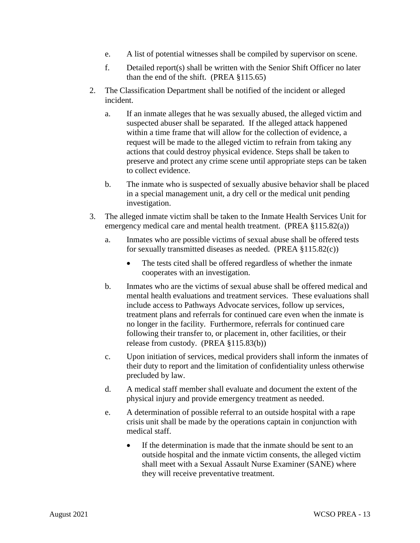- e. A list of potential witnesses shall be compiled by supervisor on scene.
- f. Detailed report(s) shall be written with the Senior Shift Officer no later than the end of the shift. (PREA §115.65)
- 2. The Classification Department shall be notified of the incident or alleged incident.
	- a. If an inmate alleges that he was sexually abused, the alleged victim and suspected abuser shall be separated. If the alleged attack happened within a time frame that will allow for the collection of evidence, a request will be made to the alleged victim to refrain from taking any actions that could destroy physical evidence. Steps shall be taken to preserve and protect any crime scene until appropriate steps can be taken to collect evidence.
	- b. The inmate who is suspected of sexually abusive behavior shall be placed in a special management unit, a dry cell or the medical unit pending investigation.
- 3. The alleged inmate victim shall be taken to the Inmate Health Services Unit for emergency medical care and mental health treatment. (PREA §115.82(a))
	- a. Inmates who are possible victims of sexual abuse shall be offered tests for sexually transmitted diseases as needed. (PREA §115.82(c))
		- The tests cited shall be offered regardless of whether the inmate cooperates with an investigation.
	- b. Inmates who are the victims of sexual abuse shall be offered medical and mental health evaluations and treatment services. These evaluations shall include access to Pathways Advocate services, follow up services, treatment plans and referrals for continued care even when the inmate is no longer in the facility. Furthermore, referrals for continued care following their transfer to, or placement in, other facilities, or their release from custody. (PREA §115.83(b))
	- c. Upon initiation of services, medical providers shall inform the inmates of their duty to report and the limitation of confidentiality unless otherwise precluded by law.
	- d. A medical staff member shall evaluate and document the extent of the physical injury and provide emergency treatment as needed.
	- e. A determination of possible referral to an outside hospital with a rape crisis unit shall be made by the operations captain in conjunction with medical staff.
		- If the determination is made that the inmate should be sent to an outside hospital and the inmate victim consents, the alleged victim shall meet with a Sexual Assault Nurse Examiner (SANE) where they will receive preventative treatment.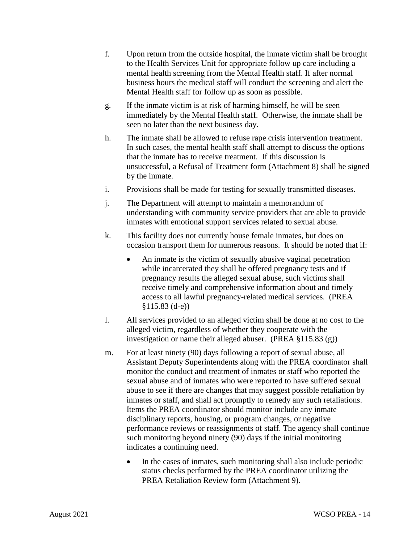- f. Upon return from the outside hospital, the inmate victim shall be brought to the Health Services Unit for appropriate follow up care including a mental health screening from the Mental Health staff. If after normal business hours the medical staff will conduct the screening and alert the Mental Health staff for follow up as soon as possible.
- g. If the inmate victim is at risk of harming himself, he will be seen immediately by the Mental Health staff. Otherwise, the inmate shall be seen no later than the next business day.
- h. The inmate shall be allowed to refuse rape crisis intervention treatment. In such cases, the mental health staff shall attempt to discuss the options that the inmate has to receive treatment. If this discussion is unsuccessful, a Refusal of Treatment form (Attachment 8) shall be signed by the inmate.
- i. Provisions shall be made for testing for sexually transmitted diseases.
- j. The Department will attempt to maintain a memorandum of understanding with community service providers that are able to provide inmates with emotional support services related to sexual abuse.
- k. This facility does not currently house female inmates, but does on occasion transport them for numerous reasons. It should be noted that if:
	- An inmate is the victim of sexually abusive vaginal penetration while incarcerated they shall be offered pregnancy tests and if pregnancy results the alleged sexual abuse, such victims shall receive timely and comprehensive information about and timely access to all lawful pregnancy-related medical services. (PREA §115.83 (d-e))
- l. All services provided to an alleged victim shall be done at no cost to the alleged victim, regardless of whether they cooperate with the investigation or name their alleged abuser. (PREA §115.83 (g))
- m. For at least ninety (90) days following a report of sexual abuse, all Assistant Deputy Superintendents along with the PREA coordinator shall monitor the conduct and treatment of inmates or staff who reported the sexual abuse and of inmates who were reported to have suffered sexual abuse to see if there are changes that may suggest possible retaliation by inmates or staff, and shall act promptly to remedy any such retaliations. Items the PREA coordinator should monitor include any inmate disciplinary reports, housing, or program changes, or negative performance reviews or reassignments of staff. The agency shall continue such monitoring beyond ninety (90) days if the initial monitoring indicates a continuing need.
	- In the cases of inmates, such monitoring shall also include periodic status checks performed by the PREA coordinator utilizing the PREA Retaliation Review form (Attachment 9).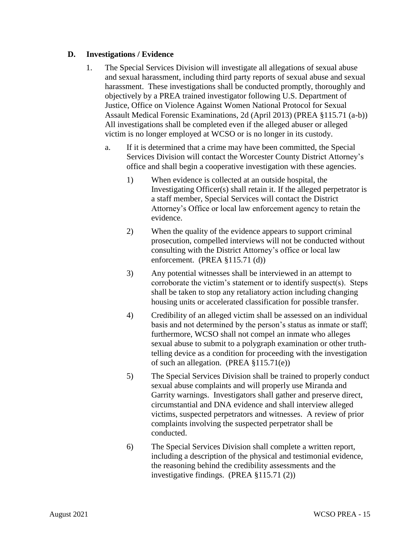#### <span id="page-14-0"></span>**D. Investigations / Evidence**

- 1. The Special Services Division will investigate all allegations of sexual abuse and sexual harassment, including third party reports of sexual abuse and sexual harassment. These investigations shall be conducted promptly, thoroughly and objectively by a PREA trained investigator following U.S. Department of Justice, Office on Violence Against Women National Protocol for Sexual Assault Medical Forensic Examinations, 2d (April 2013) (PREA §115.71 (a-b)) All investigations shall be completed even if the alleged abuser or alleged victim is no longer employed at WCSO or is no longer in its custody.
	- a. If it is determined that a crime may have been committed, the Special Services Division will contact the Worcester County District Attorney's office and shall begin a cooperative investigation with these agencies.
		- 1) When evidence is collected at an outside hospital, the Investigating Officer(s) shall retain it. If the alleged perpetrator is a staff member, Special Services will contact the District Attorney's Office or local law enforcement agency to retain the evidence.
		- 2) When the quality of the evidence appears to support criminal prosecution, compelled interviews will not be conducted without consulting with the District Attorney's office or local law enforcement. (PREA §115.71 (d))
		- 3) Any potential witnesses shall be interviewed in an attempt to corroborate the victim's statement or to identify suspect(s). Steps shall be taken to stop any retaliatory action including changing housing units or accelerated classification for possible transfer.
		- 4) Credibility of an alleged victim shall be assessed on an individual basis and not determined by the person's status as inmate or staff; furthermore, WCSO shall not compel an inmate who alleges sexual abuse to submit to a polygraph examination or other truthtelling device as a condition for proceeding with the investigation of such an allegation. (PREA §115.71(e))
		- 5) The Special Services Division shall be trained to properly conduct sexual abuse complaints and will properly use Miranda and Garrity warnings. Investigators shall gather and preserve direct, circumstantial and DNA evidence and shall interview alleged victims, suspected perpetrators and witnesses. A review of prior complaints involving the suspected perpetrator shall be conducted.
		- 6) The Special Services Division shall complete a written report, including a description of the physical and testimonial evidence, the reasoning behind the credibility assessments and the investigative findings. (PREA §115.71 (2))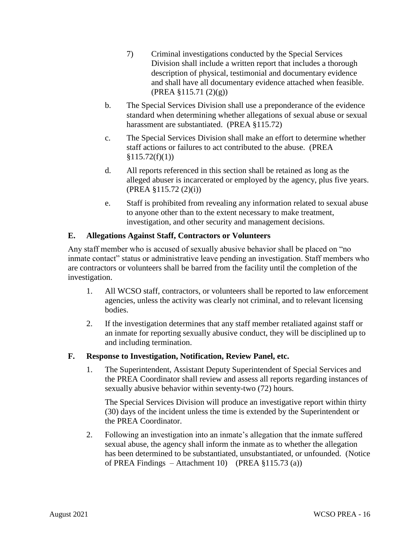- 7) Criminal investigations conducted by the Special Services Division shall include a written report that includes a thorough description of physical, testimonial and documentary evidence and shall have all documentary evidence attached when feasible. (PREA §115.71 (2)(g))
- b. The Special Services Division shall use a preponderance of the evidence standard when determining whether allegations of sexual abuse or sexual harassment are substantiated. (PREA §115.72)
- c. The Special Services Division shall make an effort to determine whether staff actions or failures to act contributed to the abuse. (PREA  $$115.72(f)(1))$
- d. All reports referenced in this section shall be retained as long as the alleged abuser is incarcerated or employed by the agency, plus five years. (PREA §115.72 (2)(i))
- e. Staff is prohibited from revealing any information related to sexual abuse to anyone other than to the extent necessary to make treatment, investigation, and other security and management decisions.

## <span id="page-15-0"></span>**E. Allegations Against Staff, Contractors or Volunteers**

Any staff member who is accused of sexually abusive behavior shall be placed on "no inmate contact" status or administrative leave pending an investigation. Staff members who are contractors or volunteers shall be barred from the facility until the completion of the investigation.

- 1. All WCSO staff, contractors, or volunteers shall be reported to law enforcement agencies, unless the activity was clearly not criminal, and to relevant licensing bodies.
- 2. If the investigation determines that any staff member retaliated against staff or an inmate for reporting sexually abusive conduct, they will be disciplined up to and including termination.

## <span id="page-15-1"></span>**F. Response to Investigation, Notification, Review Panel, etc.**

1. The Superintendent, Assistant Deputy Superintendent of Special Services and the PREA Coordinator shall review and assess all reports regarding instances of sexually abusive behavior within seventy-two (72) hours.

The Special Services Division will produce an investigative report within thirty (30) days of the incident unless the time is extended by the Superintendent or the PREA Coordinator.

2. Following an investigation into an inmate's allegation that the inmate suffered sexual abuse, the agency shall inform the inmate as to whether the allegation has been determined to be substantiated, unsubstantiated, or unfounded. (Notice of PREA Findings – Attachment 10) (PREA §115.73 (a))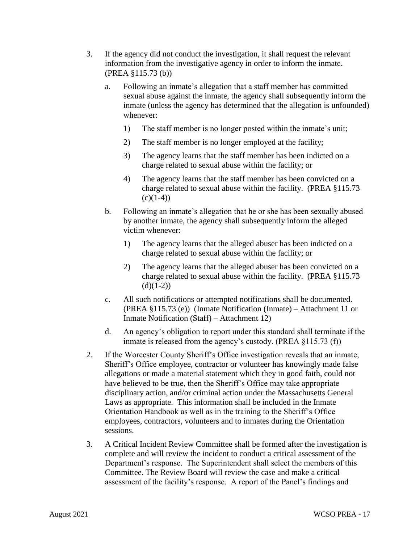- 3. If the agency did not conduct the investigation, it shall request the relevant information from the investigative agency in order to inform the inmate. (PREA §115.73 (b))
	- a. Following an inmate's allegation that a staff member has committed sexual abuse against the inmate, the agency shall subsequently inform the inmate (unless the agency has determined that the allegation is unfounded) whenever:
		- 1) The staff member is no longer posted within the inmate's unit;
		- 2) The staff member is no longer employed at the facility;
		- 3) The agency learns that the staff member has been indicted on a charge related to sexual abuse within the facility; or
		- 4) The agency learns that the staff member has been convicted on a charge related to sexual abuse within the facility. (PREA §115.73  $(c)(1-4)$
	- b. Following an inmate's allegation that he or she has been sexually abused by another inmate, the agency shall subsequently inform the alleged victim whenever:
		- 1) The agency learns that the alleged abuser has been indicted on a charge related to sexual abuse within the facility; or
		- 2) The agency learns that the alleged abuser has been convicted on a charge related to sexual abuse within the facility. (PREA §115.73  $(d)(1-2)$
	- c. All such notifications or attempted notifications shall be documented. (PREA §115.73 (e)) (Inmate Notification (Inmate) – Attachment 11 or Inmate Notification (Staff) – Attachment 12)
	- d. An agency's obligation to report under this standard shall terminate if the inmate is released from the agency's custody. (PREA §115.73 (f))
- 2. If the Worcester County Sheriff's Office investigation reveals that an inmate, Sheriff's Office employee, contractor or volunteer has knowingly made false allegations or made a material statement which they in good faith, could not have believed to be true, then the Sheriff's Office may take appropriate disciplinary action, and/or criminal action under the Massachusetts General Laws as appropriate. This information shall be included in the Inmate Orientation Handbook as well as in the training to the Sheriff's Office employees, contractors, volunteers and to inmates during the Orientation sessions.
- 3. A Critical Incident Review Committee shall be formed after the investigation is complete and will review the incident to conduct a critical assessment of the Department's response. The Superintendent shall select the members of this Committee. The Review Board will review the case and make a critical assessment of the facility's response. A report of the Panel's findings and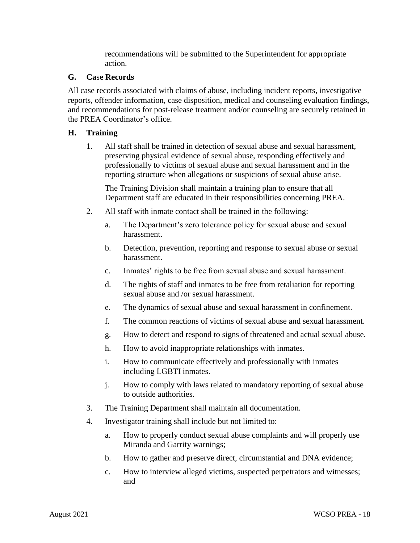recommendations will be submitted to the Superintendent for appropriate action.

#### <span id="page-17-0"></span>**G. Ca**s**e Records**

All case records associated with claims of abuse, including incident reports, investigative reports, offender information, case disposition, medical and counseling evaluation findings, and recommendations for post-release treatment and/or counseling are securely retained in the PREA Coordinator's office.

#### <span id="page-17-1"></span>**H. Training**

1. All staff shall be trained in detection of sexual abuse and sexual harassment, preserving physical evidence of sexual abuse, responding effectively and professionally to victims of sexual abuse and sexual harassment and in the reporting structure when allegations or suspicions of sexual abuse arise.

The Training Division shall maintain a training plan to ensure that all Department staff are educated in their responsibilities concerning PREA.

- 2. All staff with inmate contact shall be trained in the following:
	- a. The Department's zero tolerance policy for sexual abuse and sexual harassment.
	- b. Detection, prevention, reporting and response to sexual abuse or sexual harassment.
	- c. Inmates' rights to be free from sexual abuse and sexual harassment.
	- d. The rights of staff and inmates to be free from retaliation for reporting sexual abuse and /or sexual harassment.
	- e. The dynamics of sexual abuse and sexual harassment in confinement.
	- f. The common reactions of victims of sexual abuse and sexual harassment.
	- g. How to detect and respond to signs of threatened and actual sexual abuse.
	- h. How to avoid inappropriate relationships with inmates.
	- i. How to communicate effectively and professionally with inmates including LGBTI inmates.
	- j. How to comply with laws related to mandatory reporting of sexual abuse to outside authorities.
- 3. The Training Department shall maintain all documentation.
- 4. Investigator training shall include but not limited to:
	- a. How to properly conduct sexual abuse complaints and will properly use Miranda and Garrity warnings;
	- b. How to gather and preserve direct, circumstantial and DNA evidence;
	- c. How to interview alleged victims, suspected perpetrators and witnesses; and